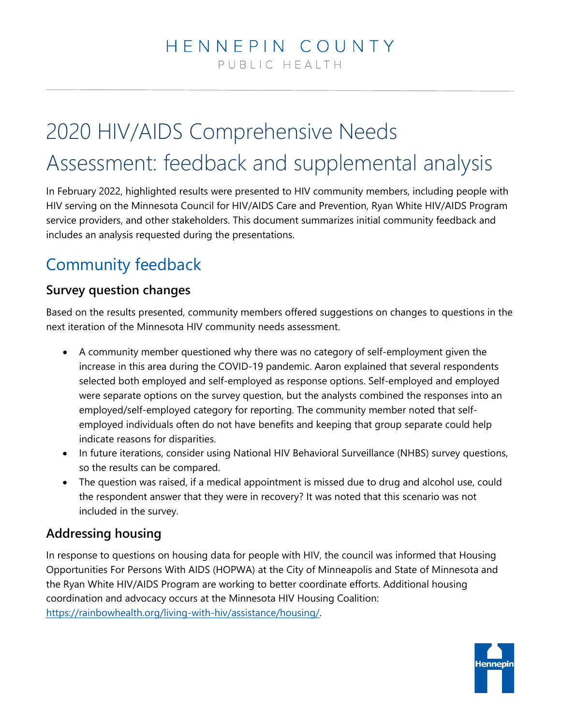# 2020 HIV/AIDS Comprehensive Needs Assessment: feedback and supplemental analysis

In February 2022, highlighted results were presented to HIV community members, including people with HIV serving on the Minnesota Council for HIV/AIDS Care and Prevention, Ryan White HIV/AIDS Program service providers, and other stakeholders. This document summarizes initial community feedback and includes an analysis requested during the presentations.

## Community feedback

#### **Survey question changes**

Based on the results presented, community members offered suggestions on changes to questions in the next iteration of the Minnesota HIV community needs assessment.

- A community member questioned why there was no category of self-employment given the increase in this area during the COVID-19 pandemic. Aaron explained that several respondents selected both employed and self-employed as response options. Self-employed and employed were separate options on the survey question, but the analysts combined the responses into an employed/self-employed category for reporting. The community member noted that selfemployed individuals often do not have benefits and keeping that group separate could help indicate reasons for disparities.
- In future iterations, consider using National HIV Behavioral Surveillance (NHBS) survey questions, so the results can be compared.
- The question was raised, if a medical appointment is missed due to drug and alcohol use, could the respondent answer that they were in recovery? It was noted that this scenario was not included in the survey.

#### **Addressing housing**

In response to questions on housing data for people with HIV, the council was informed that Housing Opportunities For Persons With AIDS (HOPWA) at the City of Minneapolis and State of Minnesota and the Ryan White HIV/AIDS Program are working to better coordinate efforts. Additional housing coordination and advocacy occurs at the Minnesota HIV Housing Coalition: [https://rainbowhealth.org/living-with-hiv/assistance/housing/.](https://rainbowhealth.org/living-with-hiv/assistance/housing/)